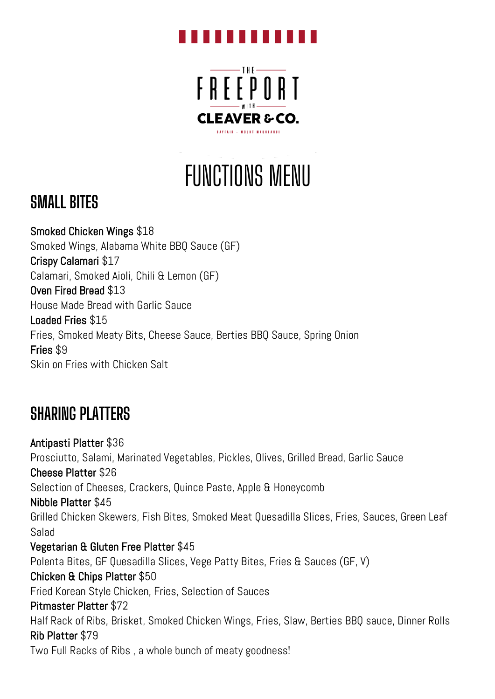#### . . . . . . . . . .



FUNCTIONS MENU

## **SMALL BITES**

Smoked Chicken Wings \$18 Smoked Wings, Alabama White BBQ Sauce (GF) Crispy Calamari \$17 Calamari, Smoked Aioli, Chili & Lemon (GF) Oven Fired Bread \$13 House Made Bread with Garlic Sauce Loaded Fries \$15 Fries, Smoked Meaty Bits, Cheese Sauce, Berties BBQ Sauce, Spring Onion Fries \$9 Skin on Fries with Chicken Salt

## **SHARING PLATTERS**

Antipasti Platter \$36 Prosciutto, Salami, Marinated Vegetables, Pickles, Olives, Grilled Bread, Garlic Sauce Cheese Platter \$26 Selection of Cheeses, Crackers, Quince Paste, Apple & Honeycomb Nibble Platter \$45 Grilled Chicken Skewers, Fish Bites, Smoked Meat Quesadilla Slices, Fries, Sauces, Green Leaf Salad Vegetarian & Gluten Free Platter \$45 Polenta Bites, GF Quesadilla Slices, Vege Patty Bites, Fries & Sauces (GF, V) Chicken & Chips Platter \$50 Fried Korean Style Chicken, Fries, Selection of Sauces Pitmaster Platter \$72 Half Rack of Ribs, Brisket, Smoked Chicken Wings, Fries, Slaw, Berties BBQ sauce, Dinner Rolls Rib Platter \$79 Two Full Racks of Ribs , a whole bunch of meaty goodness!